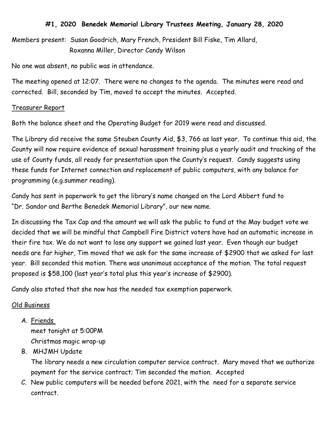## **#1, 2020 Benedek Memorial Library Trustees Meeting, January 28, 2020**

Members present: Susan Goodrich, Mary French, President Bill Fiske, Tim Allard, Roxanna Miller, Director Candy Wilson

No one was absent, no public was in attendance.

The meeting opened at 12:07. There were no changes to the agenda. The minutes were read and corrected. Bill, seconded by Tim, moved to accept the minutes. Accepted.

## Treasurer Report

Both the balance sheet and the Operating Budget for 2019 were read and discussed.

The Library did receive the same Steuben County Aid, \$3, 766 as last year. To continue this aid, the County will now require evidence of sexual harassment training plus a yearly audit and tracking of the use of County funds, all ready for presentation upon the County's request. Candy suggests using these funds for Internet connection and replacement of public computers, with any balance for programming (e.g.summer reading).

Candy has sent in paperwork to get the library's name changed on the Lord Abbert fund to "Dr. Sandor and Berthe Benedek Memorial Library", our new name.

In discussing the Tax Cap and the amount we will ask the public to fund at the May budget vote we decided that we will be mindful that Campbell Fire District voters have had an automatic increase in their fire tax. We do not want to lose any support we gained last year. Even though our budget needs are far higher, Tim moved that we ask for the same increase of \$2900 that we asked for last year. Bill seconded this motion. There was unanimous acceptance of the motion. The total request proposed is \$58,100 (last year's total plus this year's increase of \$2900).

Candy also stated that she now has the needed tax exemption paperwork.

## Old Business

A. Friends

meet tonight at 5:00PM Christmas magic wrap-up

B. MHJMH Update

The library needs a new circulation computer service contract. Mary moved that we authorize payment for the service contract; Tim seconded the motion. Accepted

C. New public computers will be needed before 2021, with the need for a separate service contract.